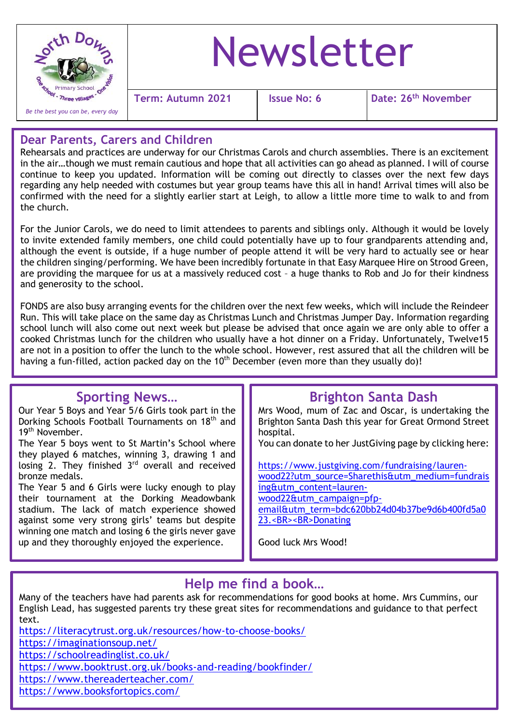

# Newsletter

**Term: Autumn 2021 Issue No: 6 Date: 26th November**

### **Dear Parents, Carers and Children**

Rehearsals and practices are underway for our Christmas Carols and church assemblies. There is an excitement in the air…though we must remain cautious and hope that all activities can go ahead as planned. I will of course continue to keep you updated. Information will be coming out directly to classes over the next few days regarding any help needed with costumes but year group teams have this all in hand! Arrival times will also be confirmed with the need for a slightly earlier start at Leigh, to allow a little more time to walk to and from the church.

For the Junior Carols, we do need to limit attendees to parents and siblings only. Although it would be lovely to invite extended family members, one child could potentially have up to four grandparents attending and, although the event is outside, if a huge number of people attend it will be very hard to actually see or hear the children singing/performing. We have been incredibly fortunate in that Easy Marquee Hire on Strood Green, are providing the marquee for us at a massively reduced cost – a huge thanks to Rob and Jo for their kindness and generosity to the school.

FONDS are also busy arranging events for the children over the next few weeks, which will include the Reindeer Run. This will take place on the same day as Christmas Lunch and Christmas Jumper Day. Information regarding school lunch will also come out next week but please be advised that once again we are only able to offer a cooked Christmas lunch for the children who usually have a hot dinner on a Friday. Unfortunately, Twelve15 are not in a position to offer the lunch to the whole school. However, rest assured that all the children will be having a fun-filled, action packed day on the  $10<sup>th</sup>$  December (even more than they usually do)!

## **Sporting News…**

Our Year 5 Boys and Year 5/6 Girls took part in the Dorking Schools Football Tournaments on 18<sup>th</sup> and 19<sup>th</sup> November.

The Year 5 boys went to St Martin's School where they played 6 matches, winning 3, drawing 1 and losing 2. They finished 3<sup>rd</sup> overall and received bronze medals.

winning one match and losing 6 the girls never gave The Year 5 and 6 Girls were lucky enough to play their tournament at the Dorking Meadowbank stadium. The lack of match experience showed against some very strong girls' teams but despite up and they thoroughly enjoyed the experience.

# **Brighton Santa Dash**

Mrs Wood, mum of Zac and Oscar, is undertaking the Brighton Santa Dash this year for Great Ormond Street hospital.

You can donate to her JustGiving page by clicking here:

[https://www.justgiving.com/fundraising/lauren](https://www.justgiving.com/fundraising/lauren-wood22?utm_source=Sharethis&utm_medium=fundraising&utm_content=lauren-wood22&utm_campaign=pfp-email&utm_term=bdc620bb24d04b37be9d6b400fd5a023.%3cBR%3e%3cBR%3eDonating)[wood22?utm\\_source=Sharethis&utm\\_medium=fundrais](https://www.justgiving.com/fundraising/lauren-wood22?utm_source=Sharethis&utm_medium=fundraising&utm_content=lauren-wood22&utm_campaign=pfp-email&utm_term=bdc620bb24d04b37be9d6b400fd5a023.%3cBR%3e%3cBR%3eDonating) [ing&utm\\_content=lauren](https://www.justgiving.com/fundraising/lauren-wood22?utm_source=Sharethis&utm_medium=fundraising&utm_content=lauren-wood22&utm_campaign=pfp-email&utm_term=bdc620bb24d04b37be9d6b400fd5a023.%3cBR%3e%3cBR%3eDonating)[wood22&utm\\_campaign=pfp](https://www.justgiving.com/fundraising/lauren-wood22?utm_source=Sharethis&utm_medium=fundraising&utm_content=lauren-wood22&utm_campaign=pfp-email&utm_term=bdc620bb24d04b37be9d6b400fd5a023.%3cBR%3e%3cBR%3eDonating)[email&utm\\_term=bdc620bb24d04b37be9d6b400fd5a0](https://www.justgiving.com/fundraising/lauren-wood22?utm_source=Sharethis&utm_medium=fundraising&utm_content=lauren-wood22&utm_campaign=pfp-email&utm_term=bdc620bb24d04b37be9d6b400fd5a023.%3cBR%3e%3cBR%3eDonating) [23.<BR><BR>Donating](https://www.justgiving.com/fundraising/lauren-wood22?utm_source=Sharethis&utm_medium=fundraising&utm_content=lauren-wood22&utm_campaign=pfp-email&utm_term=bdc620bb24d04b37be9d6b400fd5a023.%3cBR%3e%3cBR%3eDonating)

Good luck Mrs Wood!

# **Help me find a book…**

Many of the teachers have had parents ask for recommendations for good books at home. Mrs Cummins, our English Lead, has suggested parents try these great sites for recommendations and guidance to that perfect text.

<https://literacytrust.org.uk/resources/how-to-choose-books/>

<https://imaginationsoup.net/>

<https://schoolreadinglist.co.uk/>

<https://www.booktrust.org.uk/books-and-reading/bookfinder/>

<https://www.thereaderteacher.com/>

<https://www.booksfortopics.com/>